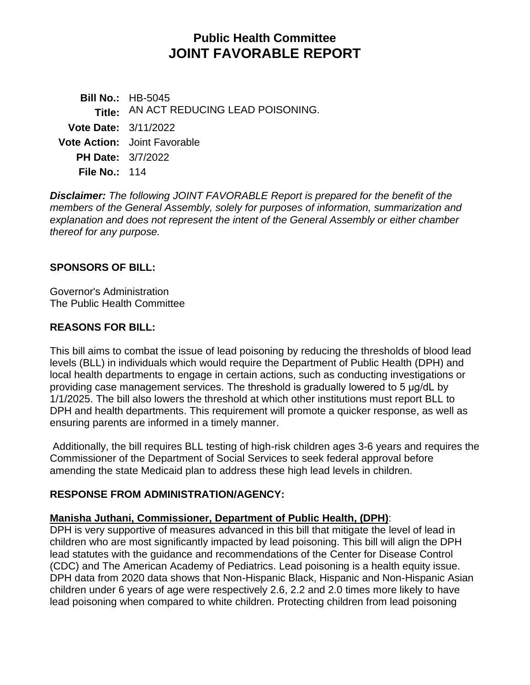# **Public Health Committee JOINT FAVORABLE REPORT**

**Bill No.:** HB-5045 **Title:** AN ACT REDUCING LEAD POISONING. **Vote Date:** 3/11/2022 **Vote Action:** Joint Favorable **PH Date:** 3/7/2022 **File No.:** 114

*Disclaimer: The following JOINT FAVORABLE Report is prepared for the benefit of the members of the General Assembly, solely for purposes of information, summarization and explanation and does not represent the intent of the General Assembly or either chamber thereof for any purpose.*

## **SPONSORS OF BILL:**

Governor's Administration The Public Health Committee

## **REASONS FOR BILL:**

This bill aims to combat the issue of lead poisoning by reducing the thresholds of blood lead levels (BLL) in individuals which would require the Department of Public Health (DPH) and local health departments to engage in certain actions, such as conducting investigations or providing case management services. The threshold is gradually lowered to 5 μg/dL by 1/1/2025. The bill also lowers the threshold at which other institutions must report BLL to DPH and health departments. This requirement will promote a quicker response, as well as ensuring parents are informed in a timely manner.

Additionally, the bill requires BLL testing of high-risk children ages 3-6 years and requires the Commissioner of the Department of Social Services to seek federal approval before amending the state Medicaid plan to address these high lead levels in children.

## **RESPONSE FROM ADMINISTRATION/AGENCY:**

## **Manisha Juthani, Commissioner, Department of Public Health, (DPH)**:

DPH is very supportive of measures advanced in this bill that mitigate the level of lead in children who are most significantly impacted by lead poisoning. This bill will align the DPH lead statutes with the guidance and recommendations of the Center for Disease Control (CDC) and The American Academy of Pediatrics. Lead poisoning is a health equity issue. DPH data from 2020 data shows that Non-Hispanic Black, Hispanic and Non-Hispanic Asian children under 6 years of age were respectively 2.6, 2.2 and 2.0 times more likely to have lead poisoning when compared to white children. Protecting children from lead poisoning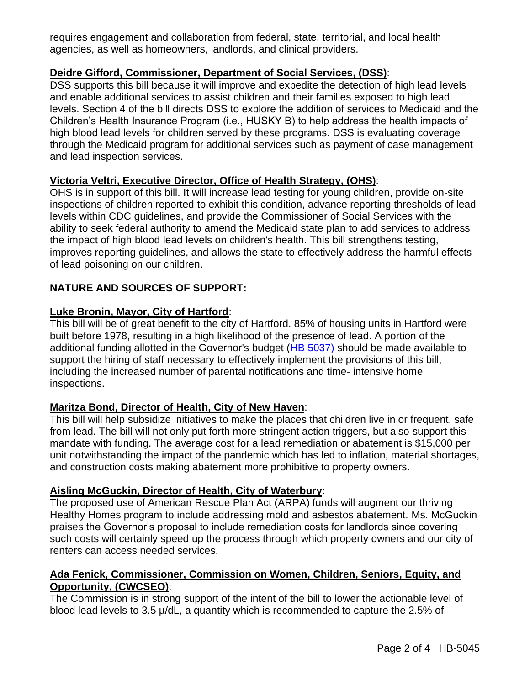requires engagement and collaboration from federal, state, territorial, and local health agencies, as well as homeowners, landlords, and clinical providers.

# **Deidre Gifford, Commissioner, Department of Social Services, (DSS)**:

DSS supports this bill because it will improve and expedite the detection of high lead levels and enable additional services to assist children and their families exposed to high lead levels. Section 4 of the bill directs DSS to explore the addition of services to Medicaid and the Children's Health Insurance Program (i.e., HUSKY B) to help address the health impacts of high blood lead levels for children served by these programs. DSS is evaluating coverage through the Medicaid program for additional services such as payment of case management and lead inspection services.

## **Victoria Veltri, Executive Director, Office of Health Strategy, (OHS)**:

OHS is in support of this bill. It will increase lead testing for young children, provide on-site inspections of children reported to exhibit this condition, advance reporting thresholds of lead levels within CDC guidelines, and provide the Commissioner of Social Services with the ability to seek federal authority to amend the Medicaid state plan to add services to address the impact of high blood lead levels on children's health. This bill strengthens testing, improves reporting guidelines, and allows the state to effectively address the harmful effects of lead poisoning on our children.

## **NATURE AND SOURCES OF SUPPORT:**

## **Luke Bronin, Mayor, City of Hartford**:

This bill will be of great benefit to the city of Hartford. 85% of housing units in Hartford were built before 1978, resulting in a high likelihood of the presence of lead. A portion of the additional funding allotted in the Governor's budget [\(HB 5037\)](https://cga.ct.gov/asp/cgabillstatus/cgabillstatus.asp?selBillType=Bill&which_year=2022&bill_num=5037) should be made available to support the hiring of staff necessary to effectively implement the provisions of this bill, including the increased number of parental notifications and time- intensive home inspections.

## **Maritza Bond, Director of Health, City of New Haven**:

This bill will help subsidize initiatives to make the places that children live in or frequent, safe from lead. The bill will not only put forth more stringent action triggers, but also support this mandate with funding. The average cost for a lead remediation or abatement is \$15,000 per unit notwithstanding the impact of the pandemic which has led to inflation, material shortages, and construction costs making abatement more prohibitive to property owners.

## **Aisling McGuckin, Director of Health, City of Waterbury**:

The proposed use of American Rescue Plan Act (ARPA) funds will augment our thriving Healthy Homes program to include addressing mold and asbestos abatement. Ms. McGuckin praises the Governor's proposal to include remediation costs for landlords since covering such costs will certainly speed up the process through which property owners and our city of renters can access needed services.

## **Ada Fenick, Commissioner, Commission on Women, Children, Seniors, Equity, and Opportunity, (CWCSEO)**:

The Commission is in strong support of the intent of the bill to lower the actionable level of blood lead levels to 3.5 µ/dL, a quantity which is recommended to capture the 2.5% of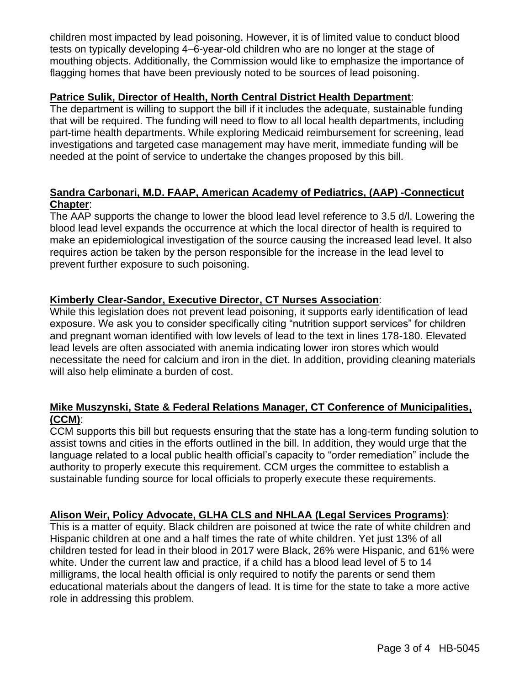children most impacted by lead poisoning. However, it is of limited value to conduct blood tests on typically developing 4–6-year-old children who are no longer at the stage of mouthing objects. Additionally, the Commission would like to emphasize the importance of flagging homes that have been previously noted to be sources of lead poisoning.

## **Patrice Sulik, Director of Health, North Central District Health Department**:

The department is willing to support the bill if it includes the adequate, sustainable funding that will be required. The funding will need to flow to all local health departments, including part-time health departments. While exploring Medicaid reimbursement for screening, lead investigations and targeted case management may have merit, immediate funding will be needed at the point of service to undertake the changes proposed by this bill.

# **Sandra Carbonari, M.D. FAAP, American Academy of Pediatrics, (AAP) -Connecticut Chapter**:

The AAP supports the change to lower the blood lead level reference to 3.5 d/l. Lowering the blood lead level expands the occurrence at which the local director of health is required to make an epidemiological investigation of the source causing the increased lead level. It also requires action be taken by the person responsible for the increase in the lead level to prevent further exposure to such poisoning.

## **Kimberly Clear-Sandor, Executive Director, CT Nurses Association**:

While this legislation does not prevent lead poisoning, it supports early identification of lead exposure. We ask you to consider specifically citing "nutrition support services" for children and pregnant woman identified with low levels of lead to the text in lines 178-180. Elevated lead levels are often associated with anemia indicating lower iron stores which would necessitate the need for calcium and iron in the diet. In addition, providing cleaning materials will also help eliminate a burden of cost.

## **Mike Muszynski, State & Federal Relations Manager, CT Conference of Municipalities, (CCM)**:

CCM supports this bill but requests ensuring that the state has a long-term funding solution to assist towns and cities in the efforts outlined in the bill. In addition, they would urge that the language related to a local public health official's capacity to "order remediation" include the authority to properly execute this requirement. CCM urges the committee to establish a sustainable funding source for local officials to properly execute these requirements.

## **Alison Weir, Policy Advocate, GLHA CLS and NHLAA (Legal Services Programs)**:

This is a matter of equity. Black children are poisoned at twice the rate of white children and Hispanic children at one and a half times the rate of white children. Yet just 13% of all children tested for lead in their blood in 2017 were Black, 26% were Hispanic, and 61% were white. Under the current law and practice, if a child has a blood lead level of 5 to 14 milligrams, the local health official is only required to notify the parents or send them educational materials about the dangers of lead. It is time for the state to take a more active role in addressing this problem.